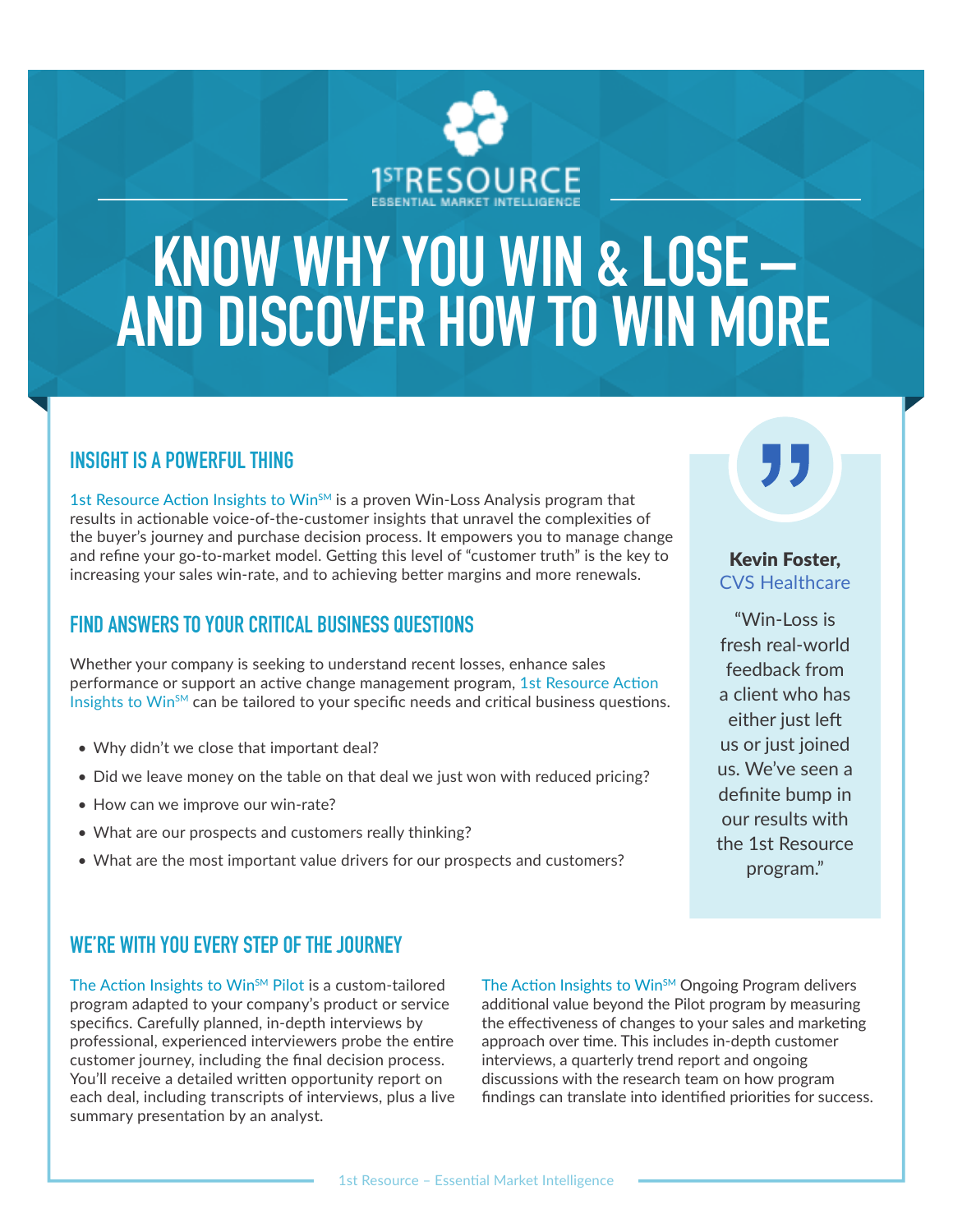

# **KNOW WHY YOU WIN & LOSE – AND DISCOVER HOW TO WIN MORE**

#### **INSIGHT IS A POWERFUL THING**

1st Resource Action Insights to Win $s$ <sup>M</sup> is a proven Win-Loss Analysis program that results in actionable voice-of-the-customer insights that unravel the complexities of the buyer's journey and purchase decision process. It empowers you to manage change and refine your go-to-market model. Getting this level of "customer truth" is the key to increasing your sales win-rate, and to achieving better margins and more renewals.

### **FIND ANSWERS TO YOUR CRITICAL BUSINESS QUESTIONS**

Whether your company is seeking to understand recent losses, enhance sales performance or support an active change management program, 1st Resource Action Insights to Win $<sup>5M</sup>$  can be tailored to your specific needs and critical business questions.</sup>

- Why didn't we close that important deal?
- Did we leave money on the table on that deal we just won with reduced pricing?
- How can we improve our win-rate?
- What are our prospects and customers really thinking?
- What are the most important value drivers for our prospects and customers?

## **WE'RE WITH YOU EVERY STEP OF THE JOURNEY**

The Action Insights to Win<sup>sM</sup> Pilot is a custom-tailored program adapted to your company's product or service specifics. Carefully planned, in-depth interviews by professional, experienced interviewers probe the entire customer journey, including the final decision process. You'll receive a detailed written opportunity report on each deal, including transcripts of interviews, plus a live summary presentation by an analyst.

The Action Insights to Win<sup>SM</sup> Ongoing Program delivers additional value beyond the Pilot program by measuring the effectiveness of changes to your sales and marketing approach over time. This includes in-depth customer interviews, a quarterly trend report and ongoing discussions with the research team on how program findings can translate into identified priorities for success.

Kevin Foster, CVS Healthcare

"Win-Loss is fresh real-world feedback from a client who has either just left us or just joined us. We've seen a definite bump in our results with the 1st Resource program."